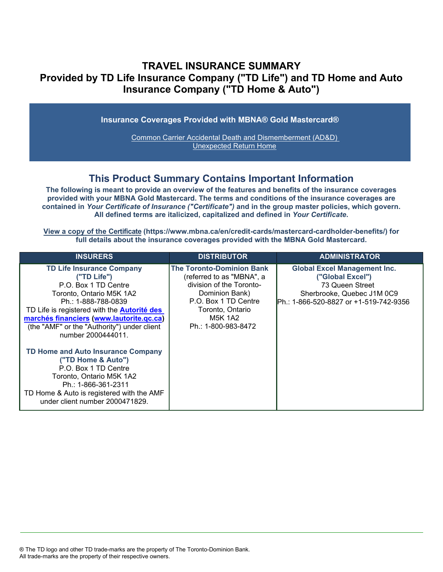## **TRAVEL INSURANCE SUMMARY Provided by TD Life Insurance Company ("TD Life") and TD Home and Auto Insurance Company ("TD Home & Auto")**

**Insurance Coverages Provided with MBNA® Gold Mastercard®**

[Common Carrier Accidental Death and Dismemberment \(AD&D\)](#page-3-0)  [Unexpected Return Home](#page-4-0)

## **This Product Summary Contains Important Information**

**The following is meant to provide an overview of the features and benefits of the insurance coverages provided with your MBNA Gold Mastercard. The terms and conditions of the insurance coverages are contained in** *Your Certificate of Insurance ("Certificate")* **and in the group master policies, which govern. All defined terms are italicized, capitalized and defined in** *Your Certificate***.**

**[View a copy of the Certificate](https://www.mbna.ca/en/credit-cards/mastercard-cardholder-benefits/) (https://www.mbna.ca/en/credit-cards/mastercard-cardholder-benefits/) for full details about the insurance coverages provided with the MBNA Gold Mastercard.**

| <b>INSURERS</b>                                                                                                                                                                                                                                                                                   | <b>DISTRIBUTOR</b>                                                                                                                                                                        | <b>ADMINISTRATOR</b>                                                                                                                                |
|---------------------------------------------------------------------------------------------------------------------------------------------------------------------------------------------------------------------------------------------------------------------------------------------------|-------------------------------------------------------------------------------------------------------------------------------------------------------------------------------------------|-----------------------------------------------------------------------------------------------------------------------------------------------------|
| <b>TD Life Insurance Company</b><br>("TD Life")<br>P.O. Box 1 TD Centre<br>Toronto, Ontario M5K 1A2<br>Ph.: 1-888-788-0839<br>TD Life is registered with the <b>Autorité des</b><br>marchés financiers (www.lautorite.qc.ca)<br>(the "AMF" or the "Authority") under client<br>number 2000444011. | <b>The Toronto-Dominion Bank</b><br>(referred to as "MBNA", a<br>division of the Toronto-<br>Dominion Bank)<br>P.O. Box 1 TD Centre<br>Toronto, Ontario<br>M5K 1A2<br>Ph.: 1-800-983-8472 | <b>Global Excel Management Inc.</b><br>("Global Excel")<br>73 Queen Street<br>Sherbrooke, Quebec J1M 0C9<br>IPh.: 1-866-520-8827 or +1-519-742-9356 |
| TD Home and Auto Insurance Company<br>("TD Home & Auto")<br>P.O. Box 1 TD Centre<br>Toronto, Ontario M5K 1A2<br>Ph.: 1-866-361-2311<br>TD Home & Auto is registered with the AMF<br>under client number 2000471829.                                                                               |                                                                                                                                                                                           |                                                                                                                                                     |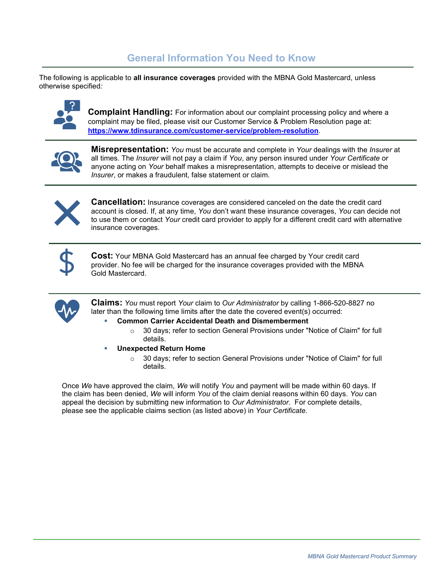## **General Information You Need to Know**

The following is applicable to **all insurance coverages** provided with the MBNA Gold Mastercard, unless otherwise specified*:*



**Complaint Handling:** For information about our complaint processing policy and where a complaint may be filed, please visit our Customer Service & Problem Resolution page at: **<https://www.tdinsurance.com/customer-service/problem-resolution>**.



**Misrepresentation:** *You* must be accurate and complete in *Your* dealings with the *Insurer* at all times. The *Insurer* will not pay a claim if *You*, any person insured under *Your Certificate* or anyone acting on *Your* behalf makes a misrepresentation, attempts to deceive or mislead the *Insurer*, or makes a fraudulent, false statement or claim.



**Cancellation:** Insurance coverages are considered canceled on the date the credit card account is closed. If, at any time, *You* don't want these insurance coverages, *You* can decide not to use them or contact *Your* credit card provider to apply for a different credit card with alternative insurance coverages.



**Cost:** Your MBNA Gold Mastercard has an annual fee charged by Your credit card provider. No fee will be charged for the insurance coverages provided with the MBNA Gold Mastercard.



**Claims:** *You* must report *Your* claim to *Our Administrator* by calling 1-866-520-8827 no later than the following time limits after the date the covered event(s) occurred:

#### **Common Carrier Accidental Death and Dismemberment**

- $\circ$  30 days; refer to section General Provisions under "Notice of Claim" for full details.
- **Unexpected Return Home**
	- $\circ$  30 days; refer to section General Provisions under "Notice of Claim" for full details.

Once *We* have approved the claim, *We* will notify *You* and payment will be made within 60 days. If the claim has been denied, *We* will inform *You* of the claim denial reasons within 60 days. *You* can appeal the decision by submitting new information to *Our Administrator*. For complete details, please see the applicable claims section (as listed above) in *Your Certificate.*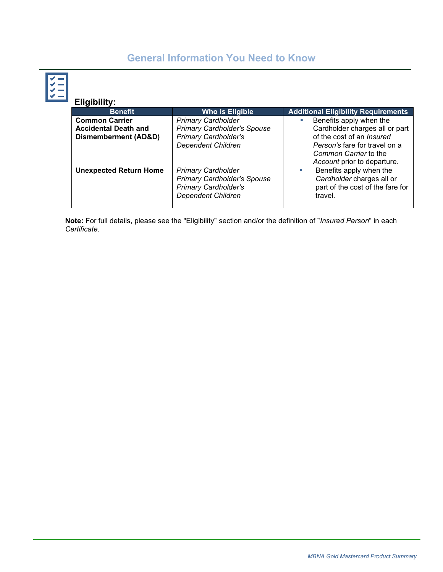# **General Information You Need to Know**

**Eligibility:**

| <b>Benefit</b>                                       | <b>Who is Eligible</b>                                                                                                      | <b>Additional Eligibility Requirements</b>                                                                                |
|------------------------------------------------------|-----------------------------------------------------------------------------------------------------------------------------|---------------------------------------------------------------------------------------------------------------------------|
| <b>Common Carrier</b><br><b>Accidental Death and</b> | <b>Primary Cardholder</b><br><b>Primary Cardholder's Spouse</b>                                                             | Benefits apply when the<br>ш<br>Cardholder charges all or part                                                            |
| <b>Dismemberment (AD&amp;D)</b>                      | <b>Primary Cardholder's</b><br><b>Dependent Children</b>                                                                    | of the cost of an <i>Insured</i><br>Person's fare for travel on a<br>Common Carrier to the<br>Account prior to departure. |
| <b>Unexpected Return Home</b>                        | <b>Primary Cardholder</b><br><b>Primary Cardholder's Spouse</b><br><b>Primary Cardholder's</b><br><b>Dependent Children</b> | Benefits apply when the<br>u,<br>Cardholder charges all or<br>part of the cost of the fare for<br>travel.                 |

**Note:** For full details, please see the "Eligibility" section and/or the definition of "*Insured Person*" in each *Certificate*.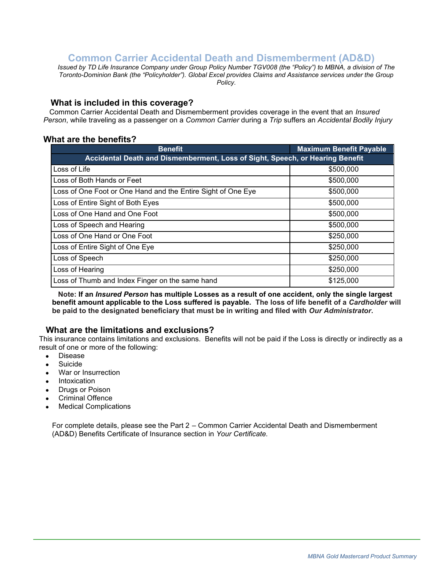## **Common Carrier Accidental Death and Dismemberment (AD&D)**

<span id="page-3-0"></span>*Issued by TD Life Insurance Company under Group Policy Number TGV008 (the "Policy") to MBNA, a division of The Toronto-Dominion Bank (the "Policyholder"). Global Excel provides Claims and Assistance services under the Group Policy.*

#### **What is included in this coverage?**

 Common Carrier Accidental Death and Dismemberment provides coverage in the event that an *Insured Person*, while traveling as a passenger on a *Common Carrier* during a *Trip* suffers an *Accidental Bodily Injury*

### **What are the benefits?**

| <b>Benefit</b>                                                                | <b>Maximum Benefit Payable</b> |  |
|-------------------------------------------------------------------------------|--------------------------------|--|
| Accidental Death and Dismemberment, Loss of Sight, Speech, or Hearing Benefit |                                |  |
| Loss of Life                                                                  | \$500,000                      |  |
| Loss of Both Hands or Feet                                                    | \$500,000                      |  |
| Loss of One Foot or One Hand and the Entire Sight of One Eye                  | \$500,000                      |  |
| Loss of Entire Sight of Both Eyes                                             | \$500,000                      |  |
| Loss of One Hand and One Foot                                                 | \$500,000                      |  |
| Loss of Speech and Hearing                                                    | \$500,000                      |  |
| Loss of One Hand or One Foot                                                  | \$250,000                      |  |
| Loss of Entire Sight of One Eye                                               | \$250,000                      |  |
| Loss of Speech                                                                | \$250,000                      |  |
| Loss of Hearing                                                               | \$250,000                      |  |
| Loss of Thumb and Index Finger on the same hand                               | \$125,000                      |  |

 **Note: If an** *Insured Person* **has multiple Losses as a result of one accident, only the single largest benefit amount applicable to the Loss suffered is payable. The loss of life benefit of a** *Cardholder* **will be paid to the designated beneficiary that must be in writing and filed with** *Our Administrator***.** 

### **What are the limitations and exclusions?**

This insurance contains limitations and exclusions. Benefits will not be paid if the Loss is directly or indirectly as a result of one or more of the following:

- Disease
- Suicide
- War or Insurrection
- **Intoxication**
- **Drugs or Poison**
- Criminal Offence
- **Medical Complications**

For complete details, please see the Part 2 – Common Carrier Accidental Death and Dismemberment (AD&D) Benefits Certificate of Insurance section in *Your Certificate.*